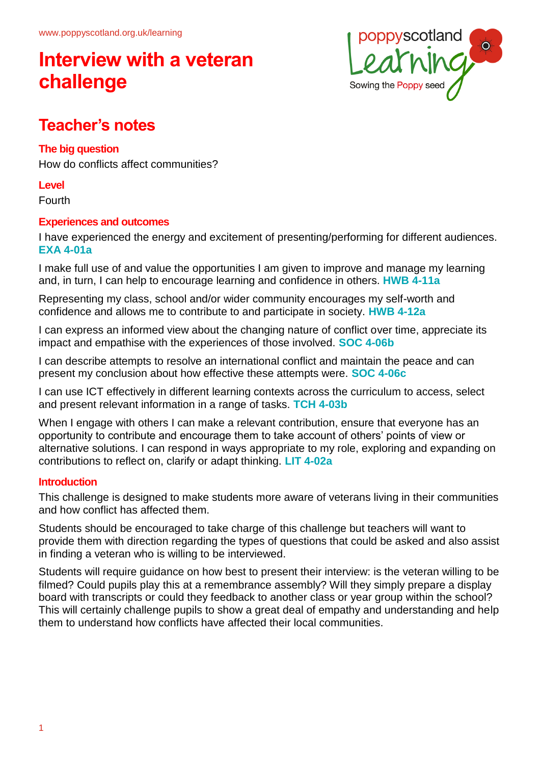

## **Teacher's notes**

#### **The big question**

How do conflicts affect communities?

#### **Level**

Fourth

#### **Experiences and outcomes**

I have experienced the energy and excitement of presenting/performing for different audiences. **EXA 4-01a**

I make full use of and value the opportunities I am given to improve and manage my learning and, in turn, I can help to encourage learning and confidence in others. **HWB 4-11a**

Representing my class, school and/or wider community encourages my self-worth and confidence and allows me to contribute to and participate in society. **HWB 4-12a**

I can express an informed view about the changing nature of conflict over time, appreciate its impact and empathise with the experiences of those involved. **SOC 4-06b**

I can describe attempts to resolve an international conflict and maintain the peace and can present my conclusion about how effective these attempts were. **SOC 4-06c**

I can use ICT effectively in different learning contexts across the curriculum to access, select and present relevant information in a range of tasks. **TCH 4-03b**

When I engage with others I can make a relevant contribution, ensure that everyone has an opportunity to contribute and encourage them to take account of others' points of view or alternative solutions. I can respond in ways appropriate to my role, exploring and expanding on contributions to reflect on, clarify or adapt thinking. **LIT 4-02a**

#### **Introduction**

This challenge is designed to make students more aware of veterans living in their communities and how conflict has affected them.

Students should be encouraged to take charge of this challenge but teachers will want to provide them with direction regarding the types of questions that could be asked and also assist in finding a veteran who is willing to be interviewed.

Students will require guidance on how best to present their interview: is the veteran willing to be filmed? Could pupils play this at a remembrance assembly? Will they simply prepare a display board with transcripts or could they feedback to another class or year group within the school? This will certainly challenge pupils to show a great deal of empathy and understanding and help them to understand how conflicts have affected their local communities.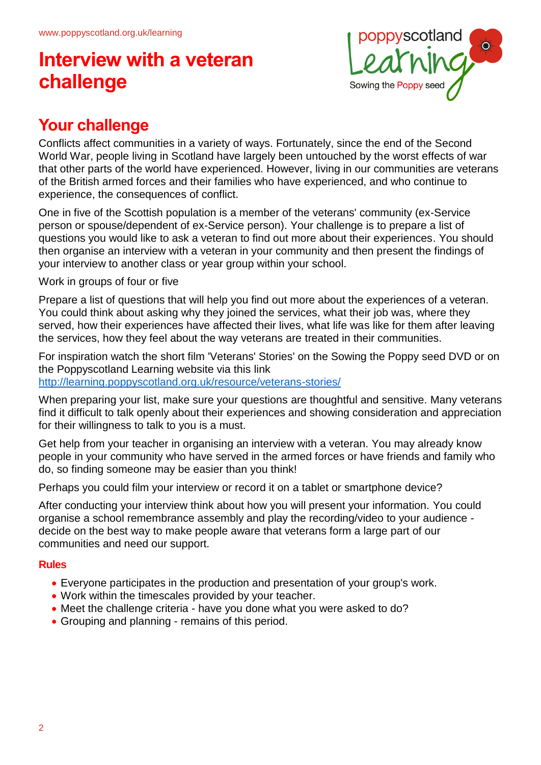

## **Your challenge**

Conflicts affect communities in a variety of ways. Fortunately, since the end of the Second World War, people living in Scotland have largely been untouched by the worst effects of war that other parts of the world have experienced. However, living in our communities are veterans of the British armed forces and their families who have experienced, and who continue to experience, the consequences of conflict.

One in five of the Scottish population is a member of the veterans' community (ex-Service person or spouse/dependent of ex-Service person). Your challenge is to prepare a list of questions you would like to ask a veteran to find out more about their experiences. You should then organise an interview with a veteran in your community and then present the findings of your interview to another class or year group within your school.

Work in groups of four or five

Prepare a list of questions that will help you find out more about the experiences of a veteran. You could think about asking why they joined the services, what their job was, where they served, how their experiences have affected their lives, what life was like for them after leaving the services, how they feel about the way veterans are treated in their communities.

For inspiration watch the short film 'Veterans' Stories' on the Sowing the Poppy seed DVD or on the Poppyscotland Learning website via this link http://learning.poppyscotland.org.uk/resource/veterans-stories/

When preparing your list, make sure your questions are thoughtful and sensitive. Many veterans find it difficult to talk openly about their experiences and showing consideration and appreciation for their willingness to talk to you is a must.

Get help from your teacher in organising an interview with a veteran. You may already know people in your community who have served in the armed forces or have friends and family who do, so finding someone may be easier than you think!

Perhaps you could film your interview or record it on a tablet or smartphone device?

After conducting your interview think about how you will present your information. You could organise a school remembrance assembly and play the recording/video to your audience decide on the best way to make people aware that veterans form a large part of our communities and need our support.

#### **Rules**

- Everyone participates in the production and presentation of your group's work.
- Work within the timescales provided by your teacher.
- Meet the challenge criteria have you done what you were asked to do?
- Grouping and planning remains of this period.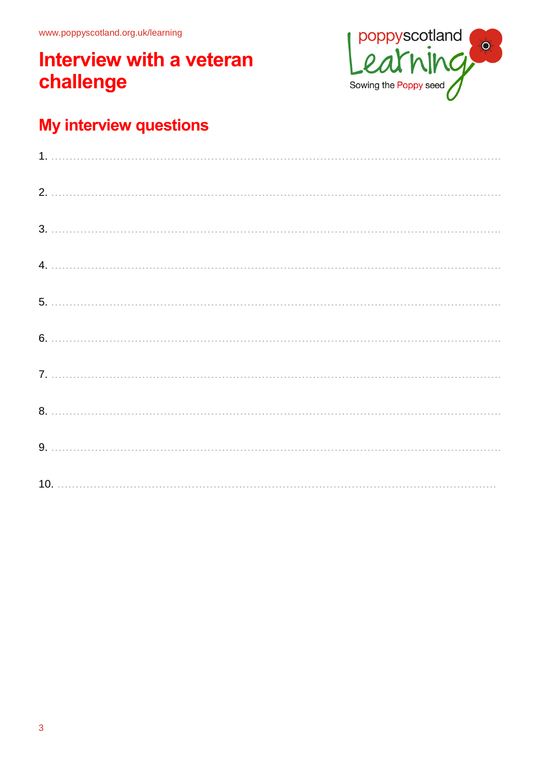

## My interview questions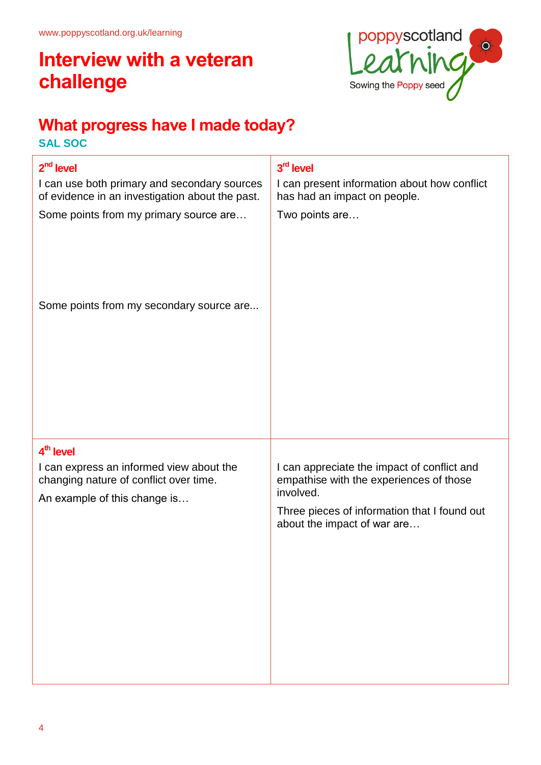

## **What progress have I made today?**

**SAL SOC**

| 2 <sup>nd</sup> level                                                                                                                       | 3 <sup>rd</sup> level                                                                                                                                                              |
|---------------------------------------------------------------------------------------------------------------------------------------------|------------------------------------------------------------------------------------------------------------------------------------------------------------------------------------|
| I can use both primary and secondary sources<br>of evidence in an investigation about the past.                                             | I can present information about how conflict<br>has had an impact on people.                                                                                                       |
| Some points from my primary source are                                                                                                      | Two points are                                                                                                                                                                     |
| Some points from my secondary source are                                                                                                    |                                                                                                                                                                                    |
|                                                                                                                                             |                                                                                                                                                                                    |
|                                                                                                                                             |                                                                                                                                                                                    |
|                                                                                                                                             |                                                                                                                                                                                    |
| 4 <sup>th</sup> level<br>I can express an informed view about the<br>changing nature of conflict over time.<br>An example of this change is | I can appreciate the impact of conflict and<br>empathise with the experiences of those<br>involved.<br>Three pieces of information that I found out<br>about the impact of war are |
|                                                                                                                                             |                                                                                                                                                                                    |
|                                                                                                                                             |                                                                                                                                                                                    |
|                                                                                                                                             |                                                                                                                                                                                    |
|                                                                                                                                             |                                                                                                                                                                                    |